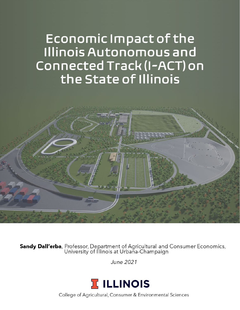# Economic Impact of the Illinois Autonomous and Connected Track (I-ACT) on the State of Illinois



**Sandy Dall'erba**, Professor, Department of Agricultural and Consumer Economics,<br>University of Illinois at Urbana-Champaign

June 2021



College of Agricultural, Consumer & Environmental Sciences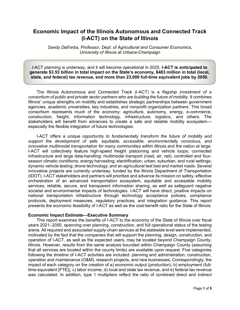# **Economic Impact of the Illinois Autonomous and Connected Track (I-ACT) on the State of Illinois**

*Sandy Dall'erba, Professor, Dept. of Agricultural and Consumer Economics, University of Illinois at Urbana-Champaign*

I-ACT planning is underway, and it will become operational in 2025. **I-ACT is anticipated to generate \$3.53 billion in total impact on the State's economy, \$483 million in total (local, state, and federal) tax revenue, and more than 23,000 full-time equivalent jobs by 2050.**

The Illinois Autonomous and Connected Track (I-ACT) is a *flagship investment of a consortium of public and private sector partners who are building the future of mobility*. It combines Illinois' unique strengths on mobility and establishes strategic partnerships between government agencies, academic universities, key industries, and nonprofit organization partners. This broad consortium represents much of the economy: agriculture, autonomy, energy, e-commerce, construction, freight, information technology, infrastructure, logistics, and others. The stakeholders will benefit from advances to create a safe and reliable mobility ecosystem especially the flexible integration of future technologies.

I-ACT offers a unique opportunity *to fundamentally transform the future of mobility and support the development of safe, equitable, accessible, environmentally conscious, and innovative multimodal transportation for many communities within Illinois* and the nation at large. I-ACT will collectively feature high-speed freight platooning and vehicle loops; connected infrastructure and large data-handling; multimodal transport (road, air, rail); controlled and fourseason climatic conditions; energy harvesting; electrification; urban, suburban, and rural settings; dynamic vehicle testing; drone technology; and an agricultural test bed and market roads. Several innovative projects are currently underway, funded by the Illinois Department of Transportation (IDOT). I-ACT stakeholders and partners will prioritize and advance its mission on safety, effective orchestration of an advanced transportation ecosystem, equitable and accessible mobility services, reliable, secure, and transparent information sharing, as well as safeguard negative societal and environmental impacts of technologies. I-ACT will have direct, positive impacts on national transportation infrastructure through technology acceptance policies, compliance protocols, deployment measures, regulatory practices, and integration guidance. This report presents the economic feasibility of I-ACT as well as the cost-benefit ratio for the State of Illinois.

#### **Economic Impact Estimate—Executive Summary**

This report examines the benefits of I-ACT to the economy of the State of Illinois over fiscal years 2021–2050, spanning over planning, construction, and full operational status of the testing arena. All required and associated supply-chain services at the statewide level were implemented, motivated by the fact that the companies that will support the planning, design, construction, and operation of I-ACT, as well as the expected users, may be located beyond Champaign County, Illinois. However, results from the same analysis bounded within Champaign County (assuming that all services are located within the county limits) are available upon request. Five categories following the timeline of I-ACT activities are included: planning and administration, construction, operation and maintenance (O&M), research projects, and new businesses. Correspondingly, the impact of each category on the creation of a) economic output (production), b) employment (fulltime equivalent [FTE]), c) labor income, d) local and state tax revenue, and e) federal tax revenue was calculated. In addition, type 1 multipliers reflect the ratio of combined direct and indirect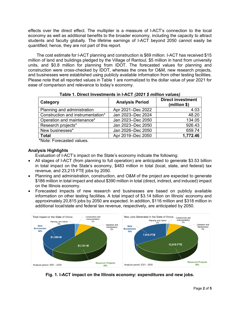effects over the direct effect. The multiplier is a measure of I-ACT's connection to the local economy as well as additional benefits to the broader economy, including the capacity to attract students and faculty globally. The lifetime earnings of I-ACT beyond 2050 cannot easily be quantified; hence, they are not part of this report.

The cost estimate for I-ACT planning and construction is \$69 million. I-ACT has received \$15 million of land and buildings pledged by the Village of Rantoul, \$5 million in hand from university units, and \$0.8 million for planning from IDOT. The forecasted values for planning and construction were cross-checked by IDOT, whereas the ones for O&M, new research projects, and businesses were established using publicly available information from other testing facilities. Please note that all reported values in Table 1 are normalized to the dollar value of year 2021 for ease of comparison and relevance to today's economy.

| Category                          | <b>Analysis Period</b> | Direct investment<br>(million \$) |
|-----------------------------------|------------------------|-----------------------------------|
| Planning and administration       | Apr 2021-Dec 2022      | 4.03                              |
| Construction and instrumentation* | Jan 2023-Dec 2024      | 48.20                             |
| Operation and maintenance*        | Jan 2023-Dec 2050      | 134.05                            |
| Research projects*                | Jan 2023-Dec 2050      | 926.43                            |
| New businesses*                   | Jan 2026-Dec 2050      | 659.74                            |
| <b>Total</b>                      | Apr 2019-Dec 2050      | 1,772.46                          |

**Table 1. Direct Investments in I-ACT** *(2021 \$ million values)*

\*Note: Forecasted values.

# **Analysis Highlights**

Evaluation of I-ACT's impact on the State's economy indicate the following:

- All stages of I-ACT (from planning to full operation) are anticipated to generate \$3.53 billion in total impact on the State's economy, \$483 million in total (local, state, and federal) tax revenue, and 23,215 FTE jobs by 2050.
- Planning and administration, construction, and O&M of the project are expected to generate \$186 million in total impact and about \$390 million in total (direct, indirect, and induced) impact on the Illinois economy.
- Forecasted impacts of new research and businesses are based on publicly available information on other testing facilities. A total impact of \$3.14 billion on Illinois' economy and approximately 20,815 jobs by 2050 are expected. In addition, \$116 million and \$318 million in additional local/state and federal tax revenue, respectively, are anticipated by 2050.



**Fig. 1. I-ACT impact on the Illinois economy: expenditures and new jobs.**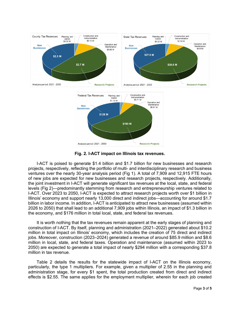

**Fig. 2. I-ACT impact on Illinois tax revenues.** 

I-ACT is poised to generate \$1.4 billion and \$1.7 billion for new businesses and research projects, respectively, reflecting the portfolio of multi- and interdisciplinary research and business ventures over the nearly 30-year analysis period (Fig 1). A total of 7,909 and 12,915 FTE hours of new jobs are expected for new businesses and research projects, respectively. Additionally, the joint investment in I-ACT will generate significant tax revenues at the local, state, and federal levels (Fig 2)—predominantly stemming from research and entrepreneurship ventures related to I-ACT. Over 2023 to 2050, I-ACT is expected to attract research projects worth over \$1 billion in Illinois' economy and support nearly 13,000 direct and indirect jobs—accounting for around \$1.7 billion in labor income. In addition, I-ACT is anticipated to attract new businesses (assumed within 2026 to 2050) that shall lead to an additional 7,909 jobs within Illinois, an impact of \$1.3 billion in the economy, and \$176 million in total local, state, and federal tax revenues.

It is worth nothing that the tax revenues remain apparent at the early stages of planning and construction of I-ACT. By itself, planning and administration (2021–2022) generated about \$10.2 million in total impact on Illinois' economy, which includes the creation of 75 direct and indirect jobs. Moreover, construction (2023–2024) generated a revenue of around \$85.9 million and \$8.6 million in local, state, and federal taxes. Operation and maintenance (assumed within 2023 to 2050) are expected to generate a total impact of nearly \$294 million with a corresponding \$37.8 million in tax revenue.

Table 2 details the results for the statewide impact of I-ACT on the Illinois economy, particularly, the type 1 multipliers. For example, given a multiplier of 2.55 in the planning and administration stage, for every \$1 spent, the total production created from direct and indirect effects is \$2.55. The same applies for the employment multiplier, wherein for each job created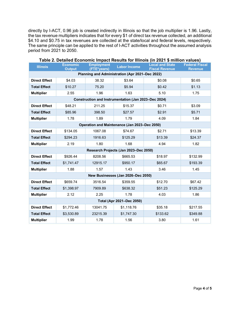directly by I-ACT, 0.96 job is created indirectly in Illinois so that the job multiplier is 1.96. Lastly, the tax revenue multipliers indicates that for every \$1 of direct tax revenue collected, an additional \$4.10 and \$0.75 in tax revenues are collected at the state/local and federal levels, respectively. The same principle can be applied to the rest of I-ACT activities throughout the assumed analysis period from 2021 to 2050.

| <b>Illinois</b>                                      | <b>Economic</b><br><b>Output</b> | <b>Employment</b><br>(FTE*years) | <b>Labor Income</b> | <b>Local and State</b><br><b>Fiscal Revenue</b> | <b>Federal Fiscal</b><br><b>Revenue</b> |  |
|------------------------------------------------------|----------------------------------|----------------------------------|---------------------|-------------------------------------------------|-----------------------------------------|--|
| Planning and Administration (Apr 2021-Dec 2022)      |                                  |                                  |                     |                                                 |                                         |  |
| <b>Direct Effect</b>                                 | \$4.03                           | 38.32                            | \$3.64              | \$0.08                                          | \$0.65                                  |  |
| <b>Total Effect</b>                                  | \$10.27                          | 75.20                            | \$5.94              | \$0.42                                          | \$1.13                                  |  |
| <b>Multiplier</b>                                    | 2.55                             | 1.96                             | 1.63                | 5.10                                            | 1.75                                    |  |
| Construction and Instrumentation (Jan 2023-Dec 2024) |                                  |                                  |                     |                                                 |                                         |  |
| <b>Direct Effect</b>                                 | \$48.21                          | 211.25                           | \$15.37             | \$0.71                                          | \$3.09                                  |  |
| <b>Total Effect</b>                                  | \$85.96                          | 398.50                           | \$27.57             | \$2.91                                          | \$5.71                                  |  |
| <b>Multiplier</b>                                    | 1.78                             | 1.89                             | 1.79                | 4.09                                            | 1.84                                    |  |
| Operation and Maintenance (Jan 2023-Dec 2050)        |                                  |                                  |                     |                                                 |                                         |  |
| <b>Direct Effect</b>                                 | \$134.05                         | 1067.08                          | \$74.67             | \$2.71                                          | \$13.39                                 |  |
| <b>Total Effect</b>                                  | \$294.23                         | 1916.63                          | \$125.29            | \$13.39                                         | \$24.37                                 |  |
| <b>Multiplier</b>                                    | 2.19                             | 1.80                             | 1.68                | 4.94                                            | 1.82                                    |  |
| Research Projects (Jan 2023-Dec 2050)                |                                  |                                  |                     |                                                 |                                         |  |
| <b>Direct Effect</b>                                 | \$926.44                         | 8208.56                          | \$665.53            | \$18.97                                         | \$132.99                                |  |
| <b>Total Effect</b>                                  | \$1,741.47                       | 12915.17                         | \$950.17            | \$65.67                                         | \$193.39                                |  |
| <b>Multiplier</b>                                    | 1.88                             | 1.57                             | 1.43                | 3.46                                            | 1.45                                    |  |
| New Businesses (Jan 2026-Dec 2050)                   |                                  |                                  |                     |                                                 |                                         |  |
| <b>Direct Effect</b>                                 | \$659.74                         | 3516.54                          | \$359.55            | \$12.70                                         | \$67.42                                 |  |
| <b>Total Effect</b>                                  | \$1,398.97                       | 7909.89                          | \$638.32            | \$51.23                                         | \$125.29                                |  |
| <b>Multiplier</b>                                    | 2.12                             | 2.25                             | 1.78                | 4.03                                            | 1.86                                    |  |
| Total (Apr 2021-Dec 2050)                            |                                  |                                  |                     |                                                 |                                         |  |
| <b>Direct Effect</b>                                 | \$1,772.46                       | 13041.75                         | \$1,118.76          | \$35.18                                         | \$217.55                                |  |
| <b>Total Effect</b>                                  | \$3,530.89                       | 23215.39                         | \$1,747.30          | \$133.62                                        | \$349.88                                |  |
| <b>Multiplier</b>                                    | 1.99                             | 1.78                             | 1.56                | 3.80                                            | 1.61                                    |  |

**Table 2. Detailed Economic Impact Results for Illinois (in 2021 \$ million values)**